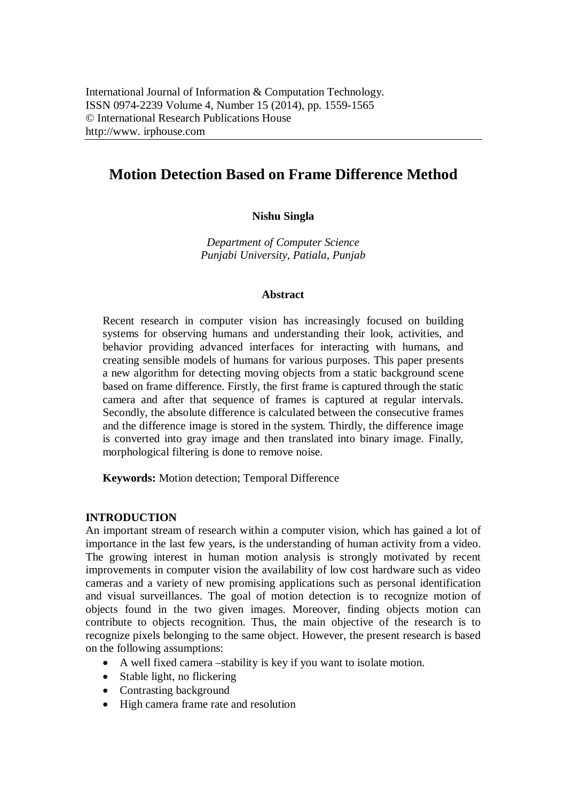# **Motion Detection Based on Frame Difference Method**

# **Nishu Singla**

*Department of Computer Science Punjabi University, Patiala, Punjab*

### **Abstract**

Recent research in computer vision has increasingly focused on building systems for observing humans and understanding their look, activities, and behavior providing advanced interfaces for interacting with humans, and creating sensible models of humans for various purposes. This paper presents a new algorithm for detecting moving objects from a static background scene based on frame difference. Firstly, the first frame is captured through the static camera and after that sequence of frames is captured at regular intervals. Secondly, the absolute difference is calculated between the consecutive frames and the difference image is stored in the system. Thirdly, the difference image is converted into gray image and then translated into binary image. Finally, morphological filtering is done to remove noise.

**Keywords:** Motion detection; Temporal Difference

# **INTRODUCTION**

An important stream of research within a computer vision, which has gained a lot of importance in the last few years, is the understanding of human activity from a video. The growing interest in human motion analysis is strongly motivated by recent improvements in computer vision the availability of low cost hardware such as video cameras and a variety of new promising applications such as personal identification and visual surveillances. The goal of motion detection is to recognize motion of objects found in the two given images. Moreover, finding objects motion can contribute to objects recognition. Thus, the main objective of the research is to recognize pixels belonging to the same object. However, the present research is based on the following assumptions:

- A well fixed camera –stability is key if you want to isolate motion.
- Stable light, no flickering
- Contrasting background
- High camera frame rate and resolution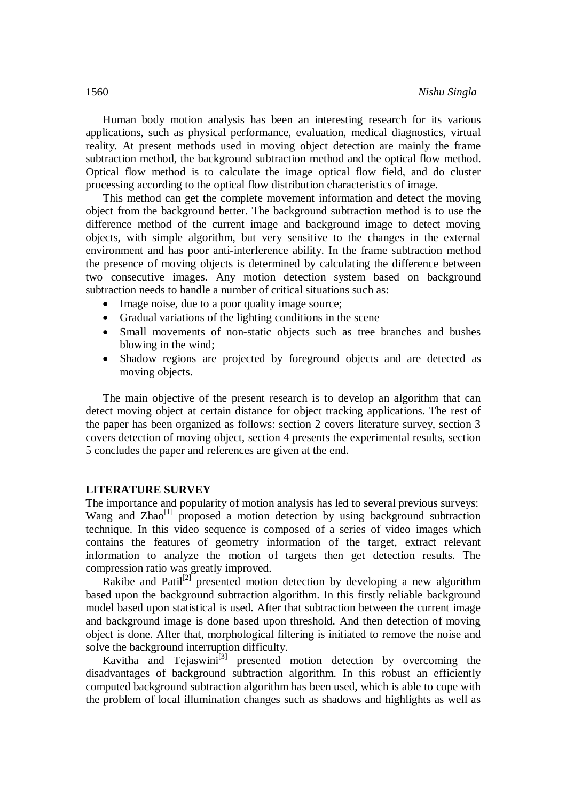Human body motion analysis has been an interesting research for its various applications, such as physical performance, evaluation, medical diagnostics, virtual reality. At present methods used in moving object detection are mainly the frame subtraction method, the background subtraction method and the optical flow method. Optical flow method is to calculate the image optical flow field, and do cluster processing according to the optical flow distribution characteristics of image.

This method can get the complete movement information and detect the moving object from the background better. The background subtraction method is to use the difference method of the current image and background image to detect moving objects, with simple algorithm, but very sensitive to the changes in the external environment and has poor anti-interference ability. In the frame subtraction method the presence of moving objects is determined by calculating the difference between two consecutive images. Any motion detection system based on background subtraction needs to handle a number of critical situations such as:

- Image noise, due to a poor quality image source;
- Gradual variations of the lighting conditions in the scene
- Small movements of non-static objects such as tree branches and bushes blowing in the wind;
- Shadow regions are projected by foreground objects and are detected as moving objects.

The main objective of the present research is to develop an algorithm that can detect moving object at certain distance for object tracking applications. The rest of the paper has been organized as follows: section 2 covers literature survey, section 3 covers detection of moving object, section 4 presents the experimental results, section 5 concludes the paper and references are given at the end.

#### **LITERATURE SURVEY**

The importance and popularity of motion analysis has led to several previous surveys: Wang and  $Zhao^{[1]}$  proposed a motion detection by using background subtraction technique. In this video sequence is composed of a series of video images which contains the features of geometry information of the target, extract relevant information to analyze the motion of targets then get detection results. The compression ratio was greatly improved.

Rakibe and  $\text{Path}^{[2]}$  presented motion detection by developing a new algorithm based upon the background subtraction algorithm. In this firstly reliable background model based upon statistical is used. After that subtraction between the current image and background image is done based upon threshold. And then detection of moving object is done. After that, morphological filtering is initiated to remove the noise and solve the background interruption difficulty.

Kavitha and Tejaswini<sup>[3]</sup> presented motion detection by overcoming the disadvantages of background subtraction algorithm. In this robust an efficiently computed background subtraction algorithm has been used, which is able to cope with the problem of local illumination changes such as shadows and highlights as well as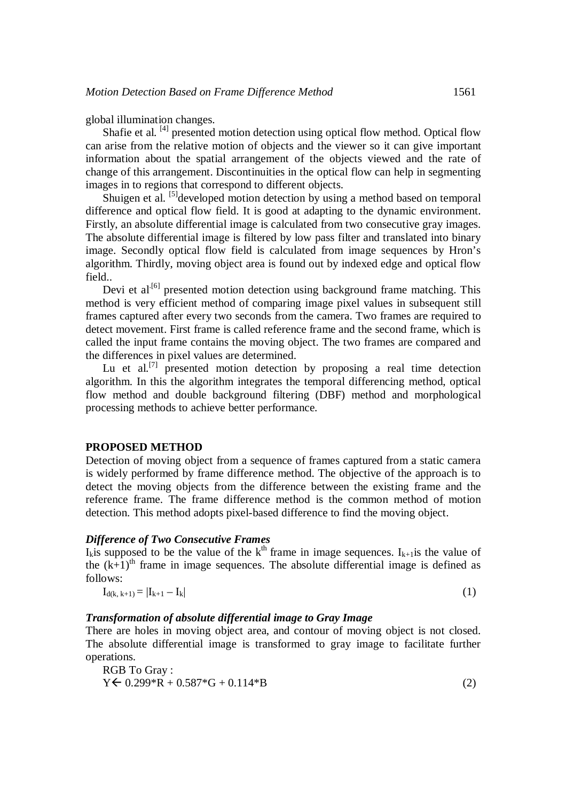global illumination changes.

Shafie et al. [4] presented motion detection using optical flow method. Optical flow can arise from the relative motion of objects and the viewer so it can give important information about the spatial arrangement of the objects viewed and the rate of change of this arrangement. Discontinuities in the optical flow can help in segmenting images in to regions that correspond to different objects.

Shuigen et al. <sup>[5]</sup>developed motion detection by using a method based on temporal difference and optical flow field. It is good at adapting to the dynamic environment. Firstly, an absolute differential image is calculated from two consecutive gray images. The absolute differential image is filtered by low pass filter and translated into binary image. Secondly optical flow field is calculated from image sequences by Hron's algorithm. Thirdly, moving object area is found out by indexed edge and optical flow field..

Devi et al<sup> $[6]$ </sup> presented motion detection using background frame matching. This method is very efficient method of comparing image pixel values in subsequent still frames captured after every two seconds from the camera. Two frames are required to detect movement. First frame is called reference frame and the second frame, which is called the input frame contains the moving object. The two frames are compared and the differences in pixel values are determined.

Lu et al.<sup>[7]</sup> presented motion detection by proposing a real time detection algorithm. In this the algorithm integrates the temporal differencing method, optical flow method and double background filtering (DBF) method and morphological processing methods to achieve better performance.

### **PROPOSED METHOD**

Detection of moving object from a sequence of frames captured from a static camera is widely performed by frame difference method. The objective of the approach is to detect the moving objects from the difference between the existing frame and the reference frame. The frame difference method is the common method of motion detection. This method adopts pixel-based difference to find the moving object.

### *Difference of Two Consecutive Frames*

 $I_k$ is supposed to be the value of the k<sup>th</sup> frame in image sequences.  $I_{k+1}$  is the value of the  $(k+1)$ <sup>th</sup> frame in image sequences. The absolute differential image is defined as follows:

$$
I_{d(k, k+1)} = |I_{k+1} - I_k| \tag{1}
$$

# *Transformation of absolute differential image to Gray Image*

There are holes in moving object area, and contour of moving object is not closed. The absolute differential image is transformed to gray image to facilitate further operations.

RGB To Gray :  $Y \leftarrow 0.299*R + 0.587*G + 0.114*B$  (2)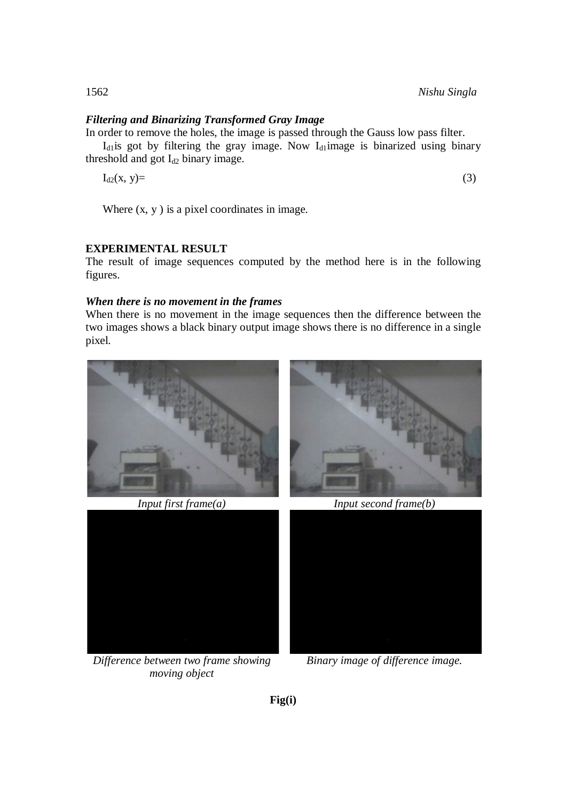# *Filtering and Binarizing Transformed Gray Image*

In order to remove the holes, the image is passed through the Gauss low pass filter.  $I<sub>d1</sub>$  is got by filtering the gray image. Now  $I<sub>d1</sub>$  image is binarized using binary threshold and got  $I_{d2}$  binary image.

 $I_{d2}(x, y) =$  (3)

Where  $(x, y)$  is a pixel coordinates in image.

# **EXPERIMENTAL RESULT**

The result of image sequences computed by the method here is in the following figures.

# *When there is no movement in the frames*

When there is no movement in the image sequences then the difference between the two images shows a black binary output image shows there is no difference in a single pixel.





*Difference between two frame showing moving object*



*Binary image of difference image.*

**Fig(i)**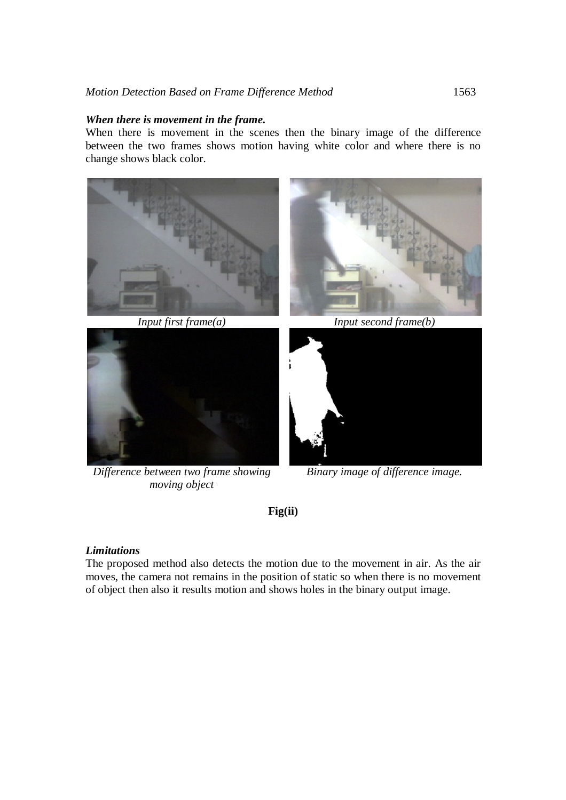### *When there is movement in the frame***.**

When there is movement in the scenes then the binary image of the difference between the two frames shows motion having white color and where there is no change shows black color.





*Difference between two frame showing moving object*



*Input first frame(a) Input second frame(b)*



*Binary image of difference image.*

**Fig(ii)**

# *Limitations*

The proposed method also detects the motion due to the movement in air. As the air moves, the camera not remains in the position of static so when there is no movement of object then also it results motion and shows holes in the binary output image.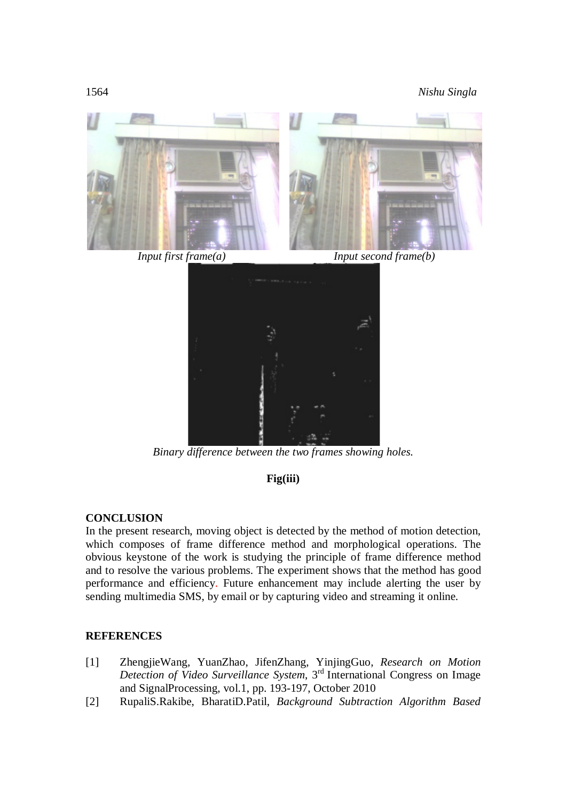1564 *Nishu Singla*



### **CONCLUSION**

In the present research, moving object is detected by the method of motion detection, which composes of frame difference method and morphological operations. The obvious keystone of the work is studying the principle of frame difference method and to resolve the various problems. The experiment shows that the method has good performance and efficiency. Future enhancement may include alerting the user by sending multimedia SMS, by email or by capturing video and streaming it online.

*Binary difference between the two frames showing holes.*

**Fig(iii)**

# **REFERENCES**

- [1] ZhengjieWang, YuanZhao, JifenZhang, YinjingGuo, *Research on Motion Detection of Video Surveillance System*, 3 rd International Congress on Image and SignalProcessing, vol.1, pp. 193-197, October 2010
- [2] RupaliS.Rakibe, BharatiD.Patil, *Background Subtraction Algorithm Based*